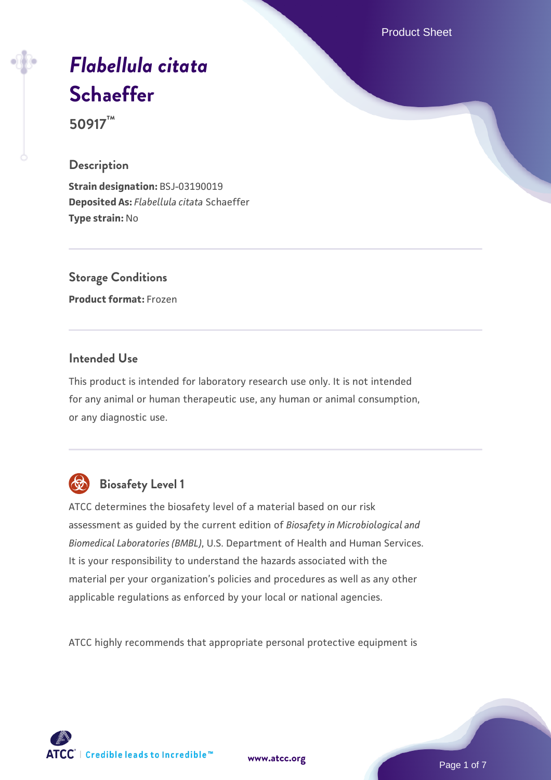Product Sheet

# *[Flabellula citata](https://www.atcc.org/products/50917)* **[Schaeffer](https://www.atcc.org/products/50917)**

**50917™**

### **Description**

**Strain designation:** BSJ-03190019 **Deposited As:** *Flabellula citata* Schaeffer **Type strain:** No

**Storage Conditions Product format:** Frozen

### **Intended Use**

This product is intended for laboratory research use only. It is not intended for any animal or human therapeutic use, any human or animal consumption, or any diagnostic use.



### **Biosafety Level 1**

ATCC determines the biosafety level of a material based on our risk assessment as guided by the current edition of *Biosafety in Microbiological and Biomedical Laboratories (BMBL)*, U.S. Department of Health and Human Services. It is your responsibility to understand the hazards associated with the material per your organization's policies and procedures as well as any other applicable regulations as enforced by your local or national agencies.

ATCC highly recommends that appropriate personal protective equipment is

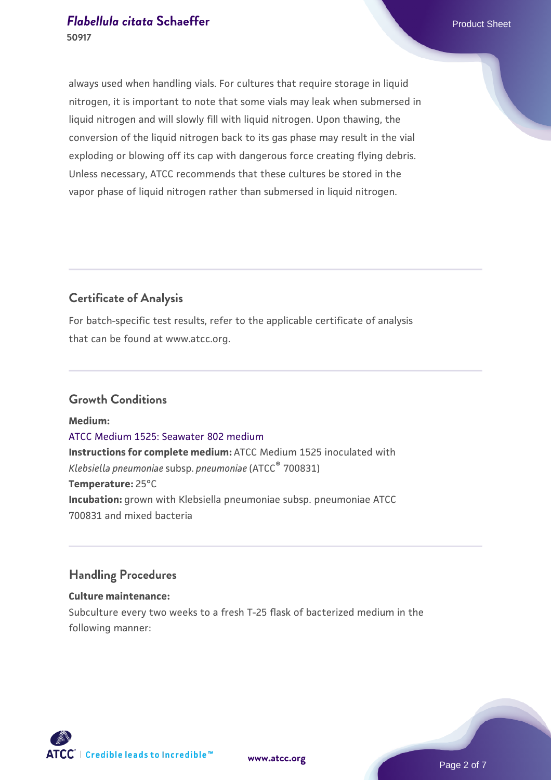always used when handling vials. For cultures that require storage in liquid nitrogen, it is important to note that some vials may leak when submersed in liquid nitrogen and will slowly fill with liquid nitrogen. Upon thawing, the conversion of the liquid nitrogen back to its gas phase may result in the vial exploding or blowing off its cap with dangerous force creating flying debris. Unless necessary, ATCC recommends that these cultures be stored in the vapor phase of liquid nitrogen rather than submersed in liquid nitrogen.

### **Certificate of Analysis**

For batch-specific test results, refer to the applicable certificate of analysis that can be found at www.atcc.org.

### **Growth Conditions**

**Medium:**  [ATCC Medium 1525: Seawater 802 medium](https://www.atcc.org/-/media/product-assets/documents/microbial-media-formulations/1/5/2/5/atcc-medium-1525.pdf?rev=a388414940634267b7071e94a0def7b3) **Instructions for complete medium:** ATCC Medium 1525 inoculated with *Klebsiella pneumoniae* subsp. *pneumoniae* (ATCC® 700831) **Temperature:** 25°C **Incubation:** grown with Klebsiella pneumoniae subsp. pneumoniae ATCC 700831 and mixed bacteria

### **Handling Procedures**

#### **Culture maintenance:**

Subculture every two weeks to a fresh T-25 flask of bacterized medium in the following manner:



**[www.atcc.org](http://www.atcc.org)**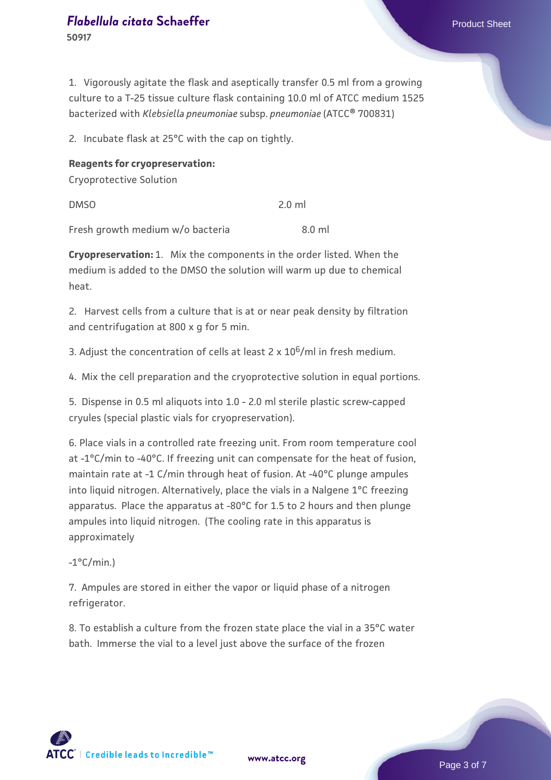**50917**

1. Vigorously agitate the flask and aseptically transfer 0.5 ml from a growing culture to a T-25 tissue culture flask containing 10.0 ml of ATCC medium 1525 bacterized with *Klebsiella pneumoniae* subsp. *pneumoniae* (ATCC® 700831)

2. Incubate flask at 25°C with the cap on tightly.

#### **Reagents for cryopreservation:**

Cryoprotective Solution

DMSO 2.0 ml

Fresh growth medium w/o bacteria 3.0 ml

**Cryopreservation:** 1. Mix the components in the order listed. When the medium is added to the DMSO the solution will warm up due to chemical heat.

2. Harvest cells from a culture that is at or near peak density by filtration and centrifugation at 800 x g for 5 min.

3. Adjust the concentration of cells at least  $2 \times 10^6$ /ml in fresh medium.

4. Mix the cell preparation and the cryoprotective solution in equal portions.

5. Dispense in 0.5 ml aliquots into 1.0 - 2.0 ml sterile plastic screw-capped cryules (special plastic vials for cryopreservation).

6. Place vials in a controlled rate freezing unit. From room temperature cool at -1°C/min to -40°C. If freezing unit can compensate for the heat of fusion, maintain rate at -1 C/min through heat of fusion. At -40°C plunge ampules into liquid nitrogen. Alternatively, place the vials in a Nalgene 1°C freezing apparatus. Place the apparatus at -80°C for 1.5 to 2 hours and then plunge ampules into liquid nitrogen. (The cooling rate in this apparatus is approximately

 $-1$ °C/min.)

7. Ampules are stored in either the vapor or liquid phase of a nitrogen refrigerator.

8. To establish a culture from the frozen state place the vial in a 35°C water bath. Immerse the vial to a level just above the surface of the frozen

**[www.atcc.org](http://www.atcc.org)**

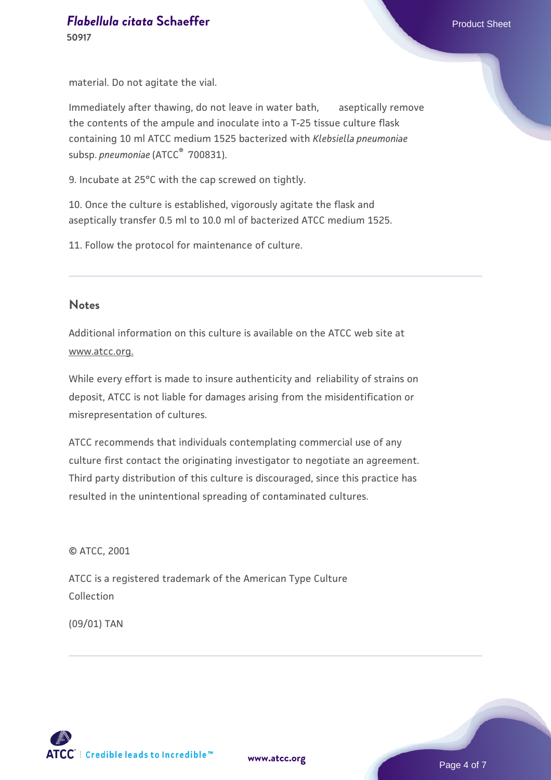material. Do not agitate the vial.

Immediately after thawing, do not leave in water bath, aseptically remove the contents of the ampule and inoculate into a T-25 tissue culture flask containing 10 ml ATCC medium 1525 bacterized with *Klebsiella pneumoniae* subsp. *pneumoniae* (ATCC<sup>®</sup> 700831).

9. Incubate at 25°C with the cap screwed on tightly.

10. Once the culture is established, vigorously agitate the flask and aseptically transfer 0.5 ml to 10.0 ml of bacterized ATCC medium 1525.

11. Follow the protocol for maintenance of culture.

#### **Notes**

Additional information on this culture is available on the ATCC web site at www.atcc.org.

While every effort is made to insure authenticity and reliability of strains on deposit, ATCC is not liable for damages arising from the misidentification or misrepresentation of cultures.

ATCC recommends that individuals contemplating commercial use of any culture first contact the originating investigator to negotiate an agreement. Third party distribution of this culture is discouraged, since this practice has resulted in the unintentional spreading of contaminated cultures.

© ATCC, 2001

ATCC is a registered trademark of the American Type Culture Collection

(09/01) TAN

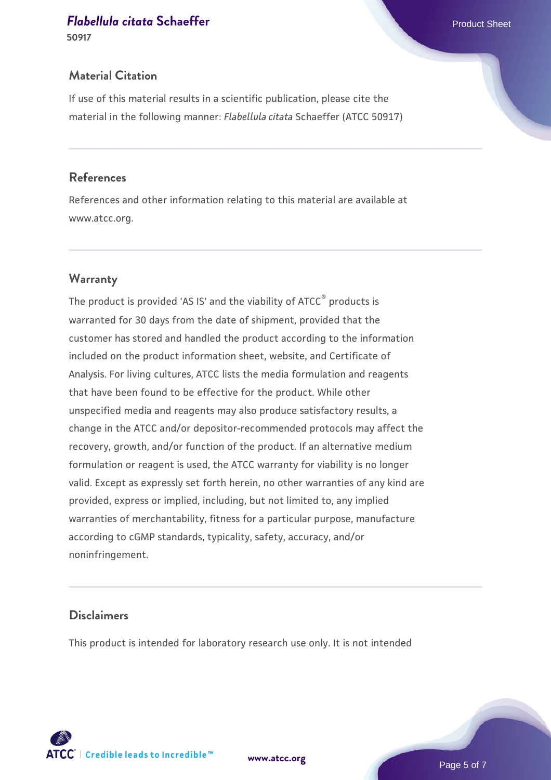**50917**

### **Material Citation**

If use of this material results in a scientific publication, please cite the material in the following manner: *Flabellula citata* Schaeffer (ATCC 50917)

### **References**

References and other information relating to this material are available at www.atcc.org.

### **Warranty**

The product is provided 'AS IS' and the viability of ATCC® products is warranted for 30 days from the date of shipment, provided that the customer has stored and handled the product according to the information included on the product information sheet, website, and Certificate of Analysis. For living cultures, ATCC lists the media formulation and reagents that have been found to be effective for the product. While other unspecified media and reagents may also produce satisfactory results, a change in the ATCC and/or depositor-recommended protocols may affect the recovery, growth, and/or function of the product. If an alternative medium formulation or reagent is used, the ATCC warranty for viability is no longer valid. Except as expressly set forth herein, no other warranties of any kind are provided, express or implied, including, but not limited to, any implied warranties of merchantability, fitness for a particular purpose, manufacture according to cGMP standards, typicality, safety, accuracy, and/or noninfringement.

### **Disclaimers**

This product is intended for laboratory research use only. It is not intended

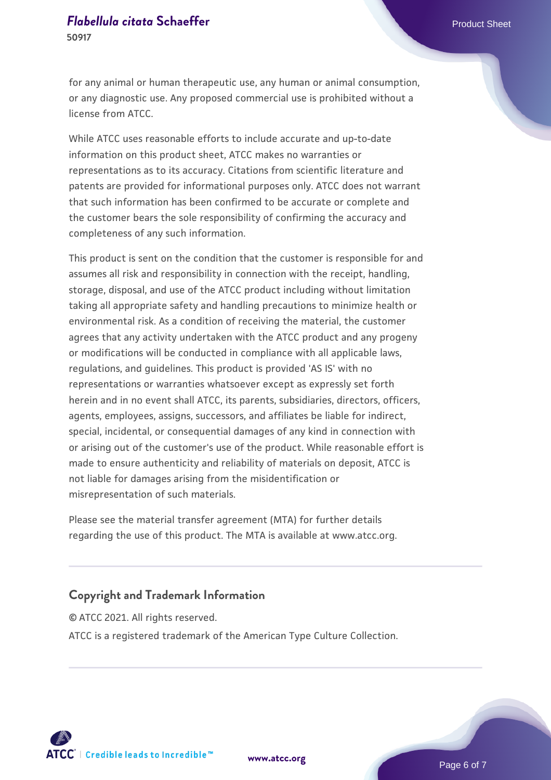for any animal or human therapeutic use, any human or animal consumption, or any diagnostic use. Any proposed commercial use is prohibited without a license from ATCC.

While ATCC uses reasonable efforts to include accurate and up-to-date information on this product sheet, ATCC makes no warranties or representations as to its accuracy. Citations from scientific literature and patents are provided for informational purposes only. ATCC does not warrant that such information has been confirmed to be accurate or complete and the customer bears the sole responsibility of confirming the accuracy and completeness of any such information.

This product is sent on the condition that the customer is responsible for and assumes all risk and responsibility in connection with the receipt, handling, storage, disposal, and use of the ATCC product including without limitation taking all appropriate safety and handling precautions to minimize health or environmental risk. As a condition of receiving the material, the customer agrees that any activity undertaken with the ATCC product and any progeny or modifications will be conducted in compliance with all applicable laws, regulations, and guidelines. This product is provided 'AS IS' with no representations or warranties whatsoever except as expressly set forth herein and in no event shall ATCC, its parents, subsidiaries, directors, officers, agents, employees, assigns, successors, and affiliates be liable for indirect, special, incidental, or consequential damages of any kind in connection with or arising out of the customer's use of the product. While reasonable effort is made to ensure authenticity and reliability of materials on deposit, ATCC is not liable for damages arising from the misidentification or misrepresentation of such materials.

Please see the material transfer agreement (MTA) for further details regarding the use of this product. The MTA is available at www.atcc.org.

### **Copyright and Trademark Information**

© ATCC 2021. All rights reserved. ATCC is a registered trademark of the American Type Culture Collection.